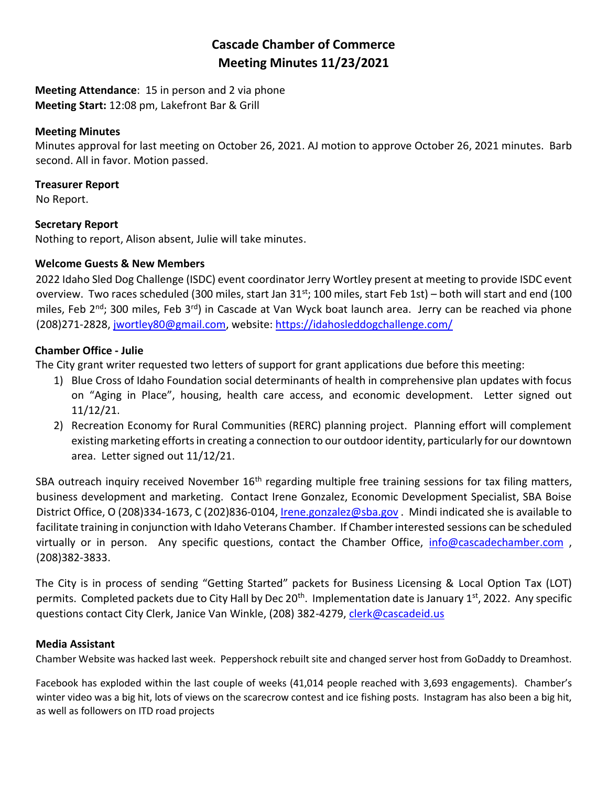# **Cascade Chamber of Commerce Meeting Minutes 11/23/2021**

**Meeting Attendance**: 15 in person and 2 via phone **Meeting Start:** 12:08 pm, Lakefront Bar & Grill

#### **Meeting Minutes**

Minutes approval for last meeting on October 26, 2021. AJ motion to approve October 26, 2021 minutes. Barb second. All in favor. Motion passed.

#### **Treasurer Report**

No Report.

#### **Secretary Report**

Nothing to report, Alison absent, Julie will take minutes.

# **Welcome Guests & New Members**

2022 Idaho Sled Dog Challenge (ISDC) event coordinator Jerry Wortley present at meeting to provide ISDC event overview. Two races scheduled (300 miles, start Jan 31st; 100 miles, start Feb 1st) – both will start and end (100 miles, Feb  $2<sup>nd</sup>$ ; 300 miles, Feb  $3<sup>rd</sup>$ ) in Cascade at Van Wyck boat launch area. Jerry can be reached via phone (208)271-2828, [jwortley80@gmail.com,](mailto:jwortley80@gmail.com) website:<https://idahosleddogchallenge.com/>

# **Chamber Office - Julie**

The City grant writer requested two letters of support for grant applications due before this meeting:

- 1) Blue Cross of Idaho Foundation social determinants of health in comprehensive plan updates with focus on "Aging in Place", housing, health care access, and economic development. Letter signed out 11/12/21.
- 2) Recreation Economy for Rural Communities (RERC) planning project. Planning effort will complement existing marketing efforts in creating a connection to our outdoor identity, particularly for our downtown area. Letter signed out 11/12/21.

SBA outreach inquiry received November 16<sup>th</sup> regarding multiple free training sessions for tax filing matters, business development and marketing. Contact Irene Gonzalez, Economic Development Specialist, SBA Boise District Office, O (208)334-1673, C (202)836-0104[, Irene.gonzalez@sba.gov](mailto:Irene.gonzalez@sba.gov) . Mindi indicated she is available to facilitate training in conjunction with Idaho Veterans Chamber. If Chamber interested sessions can be scheduled virtually or in person. Any specific questions, contact the Chamber Office, [info@cascadechamber.com](mailto:info@cascadechamber.com) , (208)382-3833.

The City is in process of sending "Getting Started" packets for Business Licensing & Local Option Tax (LOT) permits. Completed packets due to City Hall by Dec 20<sup>th</sup>. Implementation date is January 1<sup>st</sup>, 2022. Any specific questions contact City Clerk, Janice Van Winkle, (208) 382-4279, [clerk@cascadeid.us](mailto:clerk@cascadeid.us)

# **Media Assistant**

Chamber Website was hacked last week. Peppershock rebuilt site and changed server host from GoDaddy to Dreamhost.

Facebook has exploded within the last couple of weeks (41,014 people reached with 3,693 engagements). Chamber's winter video was a big hit, lots of views on the scarecrow contest and ice fishing posts. Instagram has also been a big hit, as well as followers on ITD road projects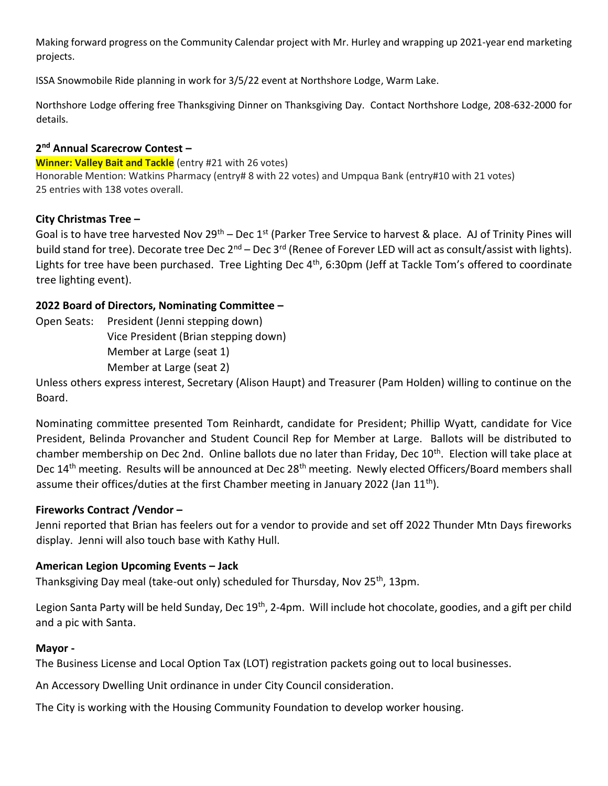Making forward progress on the Community Calendar project with Mr. Hurley and wrapping up 2021-year end marketing projects.

ISSA Snowmobile Ride planning in work for 3/5/22 event at Northshore Lodge, Warm Lake.

Northshore Lodge offering free Thanksgiving Dinner on Thanksgiving Day. Contact Northshore Lodge, 208-632-2000 for details.

#### **2 nd Annual Scarecrow Contest –**

**Winner: Valley Bait and Tackle** (entry #21 with 26 votes)

Honorable Mention: Watkins Pharmacy (entry# 8 with 22 votes) and Umpqua Bank (entry#10 with 21 votes) 25 entries with 138 votes overall.

# **City Christmas Tree –**

Goal is to have tree harvested Nov 29<sup>th</sup> – Dec 1<sup>st</sup> (Parker Tree Service to harvest & place. AJ of Trinity Pines will build stand for tree). Decorate tree Dec  $2^{nd}$  – Dec 3<sup>rd</sup> (Renee of Forever LED will act as consult/assist with lights). Lights for tree have been purchased. Tree Lighting Dec 4<sup>th</sup>, 6:30pm (Jeff at Tackle Tom's offered to coordinate tree lighting event).

# **2022 Board of Directors, Nominating Committee –**

Open Seats: President (Jenni stepping down) Vice President (Brian stepping down) Member at Large (seat 1) Member at Large (seat 2)

Unless others express interest, Secretary (Alison Haupt) and Treasurer (Pam Holden) willing to continue on the Board.

Nominating committee presented Tom Reinhardt, candidate for President; Phillip Wyatt, candidate for Vice President, Belinda Provancher and Student Council Rep for Member at Large. Ballots will be distributed to chamber membership on Dec 2nd. Online ballots due no later than Friday, Dec 10<sup>th</sup>. Election will take place at Dec 14<sup>th</sup> meeting. Results will be announced at Dec 28<sup>th</sup> meeting. Newly elected Officers/Board members shall assume their offices/duties at the first Chamber meeting in January 2022 (Jan 11<sup>th</sup>).

# **Fireworks Contract /Vendor –**

Jenni reported that Brian has feelers out for a vendor to provide and set off 2022 Thunder Mtn Days fireworks display. Jenni will also touch base with Kathy Hull.

# **American Legion Upcoming Events – Jack**

Thanksgiving Day meal (take-out only) scheduled for Thursday, Nov 25<sup>th</sup>, 13pm.

Legion Santa Party will be held Sunday, Dec 19<sup>th</sup>, 2-4pm. Will include hot chocolate, goodies, and a gift per child and a pic with Santa.

# **Mayor -**

The Business License and Local Option Tax (LOT) registration packets going out to local businesses.

An Accessory Dwelling Unit ordinance in under City Council consideration.

The City is working with the Housing Community Foundation to develop worker housing.